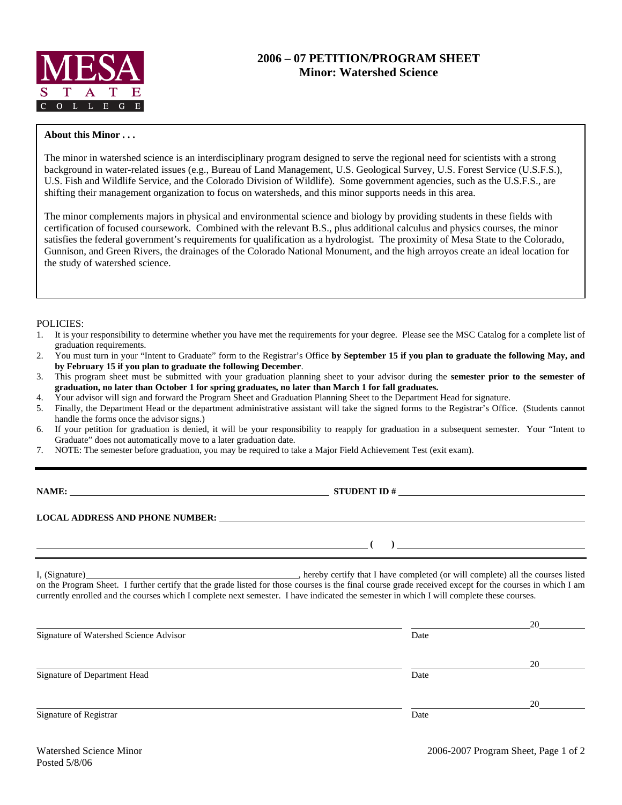

## **2006 – 07 PETITION/PROGRAM SHEET Minor: Watershed Science**

## **About this Minor . . .**

The minor in watershed science is an interdisciplinary program designed to serve the regional need for scientists with a strong background in water-related issues (e.g., Bureau of Land Management, U.S. Geological Survey, U.S. Forest Service (U.S.F.S.), U.S. Fish and Wildlife Service, and the Colorado Division of Wildlife). Some government agencies, such as the U.S.F.S., are shifting their management organization to focus on watersheds, and this minor supports needs in this area.

The minor complements majors in physical and environmental science and biology by providing students in these fields with certification of focused coursework. Combined with the relevant B.S., plus additional calculus and physics courses, the minor satisfies the federal government's requirements for qualification as a hydrologist. The proximity of Mesa State to the Colorado, Gunnison, and Green Rivers, the drainages of the Colorado National Monument, and the high arroyos create an ideal location for the study of watershed science.

## POLICIES:

- 1. It is your responsibility to determine whether you have met the requirements for your degree. Please see the MSC Catalog for a complete list of graduation requirements.
- 2. You must turn in your "Intent to Graduate" form to the Registrar's Office **by September 15 if you plan to graduate the following May, and by February 15 if you plan to graduate the following December**.
- 3. This program sheet must be submitted with your graduation planning sheet to your advisor during the **semester prior to the semester of graduation, no later than October 1 for spring graduates, no later than March 1 for fall graduates.**
- 4. Your advisor will sign and forward the Program Sheet and Graduation Planning Sheet to the Department Head for signature.
- 5. Finally, the Department Head or the department administrative assistant will take the signed forms to the Registrar's Office. (Students cannot handle the forms once the advisor signs.)
- 6. If your petition for graduation is denied, it will be your responsibility to reapply for graduation in a subsequent semester. Your "Intent to Graduate" does not automatically move to a later graduation date.
- 7. NOTE: The semester before graduation, you may be required to take a Major Field Achievement Test (exit exam).

**NAME: STUDENT ID #**

 **(** ) <u> **(** ) **d** ( ) **i** ( **) i** ( **) i** ( **) i** ( **) i** ( **) i** ( **) i** ( **) i** ( **) i** ( **) i** ( **) i** ( **) i** ( **) i** ( **) i** ( **) i** ( **) i** ( **) i** ( **) i** ( **) i** ( **) i** ( )</u>

**LOCAL ADDRESS AND PHONE NUMBER:**

I, (Signature) , hereby certify that I have completed (or will complete) all the courses listed on the Program Sheet. I further certify that the grade listed for those courses is the final course grade received except for the courses in which I am currently enrolled and the courses which I complete next semester. I have indicated the semester in which I will complete these courses.

|                                        |      | 20 |
|----------------------------------------|------|----|
| Signature of Watershed Science Advisor | Date |    |
|                                        |      | 20 |
| Signature of Department Head           | Date |    |
|                                        |      | 20 |
| Signature of Registrar                 | Date |    |